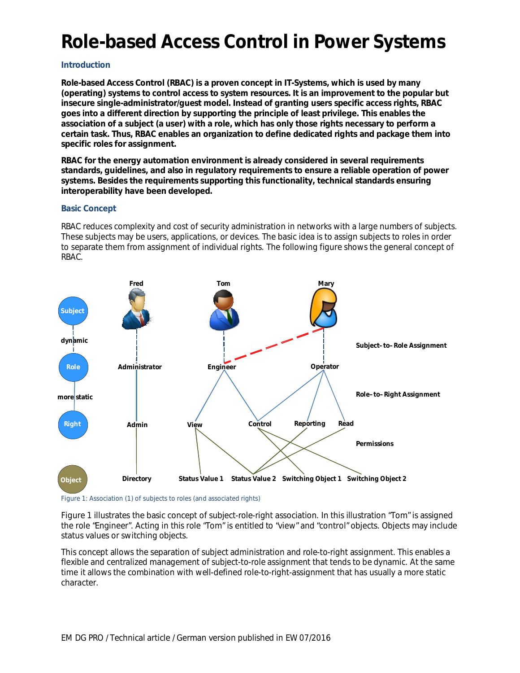# **Role-based Access Control in Power Systems**

# **Introduction**

**Role-based Access Control (RBAC) is a proven concept in IT-Systems, which is used by many (operating) systems to control access to system resources. It is an improvement to the popular but insecure single-administrator/guest model. Instead of granting users specific access rights, RBAC goes into a different direction by supporting the principle of least privilege. This enables the association of a subject (a user) with a role, which has only those rights necessary to perform a certain task. Thus, RBAC enables an organization to define dedicated rights and package them into specific roles for assignment.**

**RBAC for the energy automation environment is already considered in several requirements standards, guidelines, and also in regulatory requirements to ensure a reliable operation of power systems. Besides the requirements supporting this functionality, technical standards ensuring interoperability have been developed.**

## **Basic Concept**

RBAC reduces complexity and cost of security administration in networks with a large numbers of subjects. These subjects may be users, applications, or devices. The basic idea is to assign subjects to roles in order to separate them from assignment of individual rights. The following figure shows the general concept of RBAC.



Figure 1: Association (1) of subjects to roles (and associated rights)

Figure 1 illustrates the basic concept of subject-role-right association. In this illustration "Tom" is assigned the role "Engineer". Acting in this role "Tom" is entitled to "view" and "control" objects. Objects may include status values or switching objects.

This concept allows the separation of subject administration and role-to-right assignment. This enables a flexible and centralized management of subject-to-role assignment that tends to be dynamic. At the same time it allows the combination with well-defined role-to-right-assignment that has usually a more static character.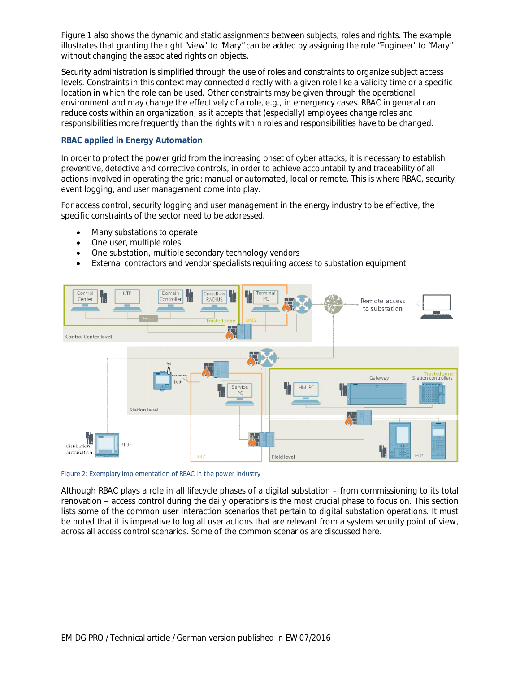Figure 1 also shows the dynamic and static assignments between subjects, roles and rights. The example illustrates that granting the right "view" to "Mary" can be added by assigning the role "Engineer" to "Mary" without changing the associated rights on objects.

*S*ecurity administration is simplified through the use of roles and constraints to organize subject access levels. Constraints in this context may connected directly with a given role like a validity time or a specific location in which the role can be used. Other constraints may be given through the operational environment and may change the effectively of a role, e.g., in emergency cases. RBAC in general can reduce costs within an organization, as it accepts that (especially) employees change roles and responsibilities more frequently than the rights within roles and responsibilities have to be changed.

# **RBAC applied in Energy Automation**

In order to protect the power grid from the increasing onset of cyber attacks, it is necessary to establish preventive, detective and corrective controls, in order to achieve accountability and traceability of all actions involved in operating the grid: manual or automated, local or remote. This is where RBAC, security event logging, and user management come into play.

For access control, security logging and user management in the energy industry to be effective, the specific constraints of the sector need to be addressed.

- · Many substations to operate
- · One user, multiple roles
- One substation, multiple secondary technology vendors
- · External contractors and vendor specialists requiring access to substation equipment



Figure 2: Exemplary Implementation of RBAC in the power industry

Although RBAC plays a role in all lifecycle phases of a digital substation – from commissioning to its total renovation – access control during the daily operations is the most crucial phase to focus on. This section lists some of the common user interaction scenarios that pertain to digital substation operations. It must be noted that it is imperative to log all user actions that are relevant from a system security point of view, across all access control scenarios. Some of the common scenarios are discussed here.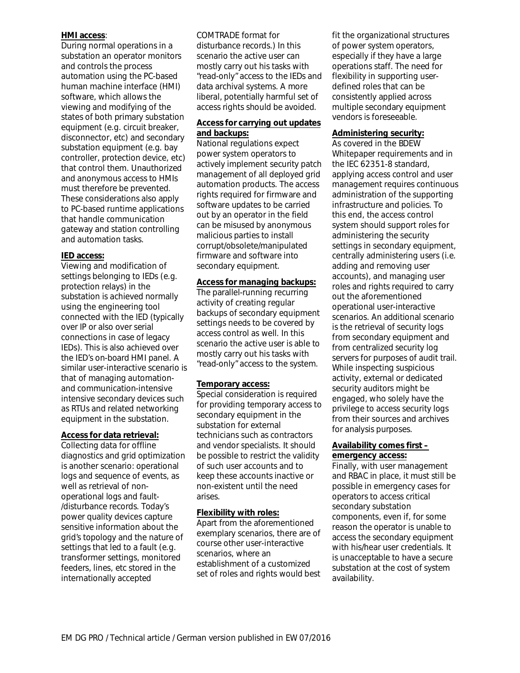#### **HMI access**:

During normal operations in a substation an operator monitors and controls the process automation using the PC-based human machine interface (HMI) software, which allows the viewing and modifying of the states of both primary substation equipment (e.g. circuit breaker, disconnector, etc) and secondary substation equipment (e.g. bay controller, protection device, etc) that control them. Unauthorized and anonymous access to HMIs must therefore be prevented. These considerations also apply to PC-based runtime applications that handle communication gateway and station controlling and automation tasks.

## **IED access:**

Viewing and modification of settings belonging to IEDs (e.g. protection relays) in the substation is achieved normally using the engineering tool connected with the IED (typically over IP or also over serial connections in case of legacy IEDs). This is also achieved over the IED's on-board HMI panel. A similar user-interactive scenario is that of managing automationand communication-intensive intensive secondary devices such as RTUs and related networking equipment in the substation.

# **Access for data retrieval:**

Collecting data for offline diagnostics and grid optimization is another scenario: operational logs and sequence of events, as well as retrieval of nonoperational logs and fault- /disturbance records. Today's power quality devices capture sensitive information about the grid's topology and the nature of settings that led to a fault (e.g. transformer settings, monitored feeders, lines, etc stored in the internationally accepted

COMTRADE format for disturbance records.) In this scenario the active user can mostly carry out his tasks with "read-only" access to the IEDs and data archival systems. A more liberal, potentially harmful set of access rights should be avoided.

# **Access for carrying out updates and backups:**

National regulations expect power system operators to actively implement security patch management of all deployed grid automation products. The access rights required for firmware and software updates to be carried out by an operator in the field can be misused by anonymous malicious parties to install corrupt/obsolete/manipulated firmware and software into secondary equipment.

# **Access for managing backups:**

The parallel-running recurring activity of creating regular backups of secondary equipment settings needs to be covered by access control as well. In this scenario the active user is able to mostly carry out his tasks with "read-only" access to the system.

# **Temporary access:**

Special consideration is required for providing temporary access to secondary equipment in the substation for external technicians such as contractors and vendor specialists. It should be possible to restrict the validity of such user accounts and to keep these accounts inactive or non-existent until the need arises.

#### **Flexibility with roles:**

Apart from the aforementioned exemplary scenarios, there are of course other user-interactive scenarios, where an establishment of a customized set of roles and rights would best

fit the organizational structures of power system operators, especially if they have a large operations staff. The need for flexibility in supporting userdefined roles that can be consistently applied across multiple secondary equipment vendors is foreseeable.

#### **Administering security:**

As covered in the BDEW Whitepaper requirements and in the IEC 62351-8 standard, applying access control and user management requires continuous administration of the supporting infrastructure and policies. To this end, the access control system should support roles for administering the security settings in secondary equipment, centrally administering users (i.e. adding and removing user accounts), and managing user roles and rights required to carry out the aforementioned operational user-interactive scenarios. An additional scenario is the retrieval of security logs from secondary equipment and from centralized security log servers for purposes of audit trail. While inspecting suspicious activity, external or dedicated security auditors might be engaged, who solely have the privilege to access security logs from their sources and archives for analysis purposes.

## **Availability comes first – emergency access:**

Finally, with user management and RBAC in place, it must still be possible in emergency cases for operators to access critical secondary substation components, even if, for some reason the operator is unable to access the secondary equipment with his/hear user credentials. It is unacceptable to have a secure substation at the cost of system availability.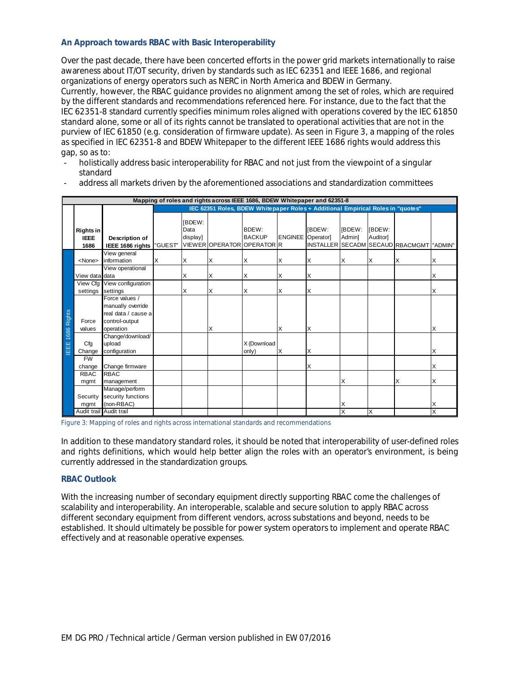#### **An Approach towards RBAC with Basic Interoperability**

Over the past decade, there have been concerted efforts in the power grid markets internationally to raise awareness about IT/OT security, driven by standards such as IEC 62351 and IEEE 1686, and regional organizations of energy operators such as NERC in North America and BDEW in Germany. Currently, however, the RBAC guidance provides no alignment among the set of roles, which are required by the different standards and recommendations referenced here. For instance, due to the fact that the IEC 62351-8 standard currently specifies minimum roles aligned with operations covered by the IEC 61850 standard alone, some or all of its rights cannot be translated to operational activities that are not in the purview of IEC 61850 (e.g. consideration of firmware update). As seen in Figure 3, a mapping of the roles as specified in IEC 62351-8 and BDEW Whitepaper to the different IEEE 1686 rights would address this gap, so as to:

- holistically address basic interoperability for RBAC and not just from the viewpoint of a singular standard
- address all markets driven by the aforementioned associations and standardization committees

| Mapping of roles and rights across IEEE 1686, BDEW Whitepaper and 62351-8 |                                  |                                                                                           |                                                                                 |                                   |                            |                        |                         |               |                  |                           |                                          |   |
|---------------------------------------------------------------------------|----------------------------------|-------------------------------------------------------------------------------------------|---------------------------------------------------------------------------------|-----------------------------------|----------------------------|------------------------|-------------------------|---------------|------------------|---------------------------|------------------------------------------|---|
|                                                                           |                                  |                                                                                           | IEC 62351 Roles, BDEW Whitepaper Roles + Additional Empirical Roles in "quotes" |                                   |                            |                        |                         |               |                  |                           |                                          |   |
|                                                                           | Rights in<br><b>IEEE</b><br>1686 | Description of<br>IEEE 1686 rights                                                        | "GUEST"                                                                         | <b>IBDEW:</b><br>Data<br>display] | VIEWER OPERATOR OPERATOR R | BDEW:<br><b>BACKUP</b> | <b>ENGINEE</b> Operator | <b>IBDEW:</b> | IBDEW:<br>Admin] | [BDEW:<br><b>Auditorl</b> | INSTALLER SECADM SECAUD RBACMGMT TADMIN" |   |
| IEEE 1686 Rights                                                          | <none></none>                    | View general<br>information                                                               | Χ                                                                               | X                                 | х                          | Χ                      | X                       | Χ             | X                | ΙX                        | х                                        | Χ |
|                                                                           |                                  | View operational                                                                          |                                                                                 |                                   |                            |                        |                         |               |                  |                           |                                          |   |
|                                                                           | View data data                   |                                                                                           |                                                                                 | X                                 | х                          | X                      | X                       | Χ             |                  |                           |                                          | Χ |
|                                                                           |                                  | View Cfg View configuration                                                               |                                                                                 |                                   |                            |                        |                         |               |                  |                           |                                          |   |
|                                                                           | settings                         | settings                                                                                  |                                                                                 | X                                 | х                          | X                      | X                       | Χ             |                  |                           |                                          | X |
|                                                                           | Force<br>values                  | Force values /<br>manually override<br>real data / cause a<br>control-output<br>operation |                                                                                 |                                   | х                          |                        | X                       | Χ             |                  |                           |                                          | X |
|                                                                           | Cfg<br>Change                    | Change/download/<br>upload<br>configuration                                               |                                                                                 |                                   |                            | X (Download<br>only)   | X                       | Χ             |                  |                           |                                          | Χ |
|                                                                           | <b>FW</b><br>change              | Change firmware                                                                           |                                                                                 |                                   |                            |                        |                         | X             |                  |                           |                                          | X |
|                                                                           | <b>RBAC</b>                      | <b>RBAC</b>                                                                               |                                                                                 |                                   |                            |                        |                         |               |                  |                           |                                          |   |
|                                                                           | mgmt                             | management                                                                                |                                                                                 |                                   |                            |                        |                         |               | X                |                           | X                                        | X |
|                                                                           |                                  | Manage/perform                                                                            |                                                                                 |                                   |                            |                        |                         |               |                  |                           |                                          |   |
|                                                                           | Security<br>mgmt                 | security functions<br>(non-RBAC)                                                          |                                                                                 |                                   |                            |                        |                         |               | Χ                |                           |                                          | X |
|                                                                           | Audit trail Audit trail          |                                                                                           |                                                                                 |                                   |                            |                        |                         |               | X                | X                         |                                          | X |

Figure 3: Mapping of roles and rights across international standards and recommendations

In addition to these mandatory standard roles, it should be noted that interoperability of user-defined roles and rights definitions, which would help better align the roles with an operator's environment, is being currently addressed in the standardization groups.

#### **RBAC Outlook**

With the increasing number of secondary equipment directly supporting RBAC come the challenges of scalability and interoperability. An interoperable, scalable and secure solution to apply RBAC across different secondary equipment from different vendors, across substations and beyond, needs to be established. It should ultimately be possible for power system operators to implement and operate RBAC effectively and at reasonable operative expenses.